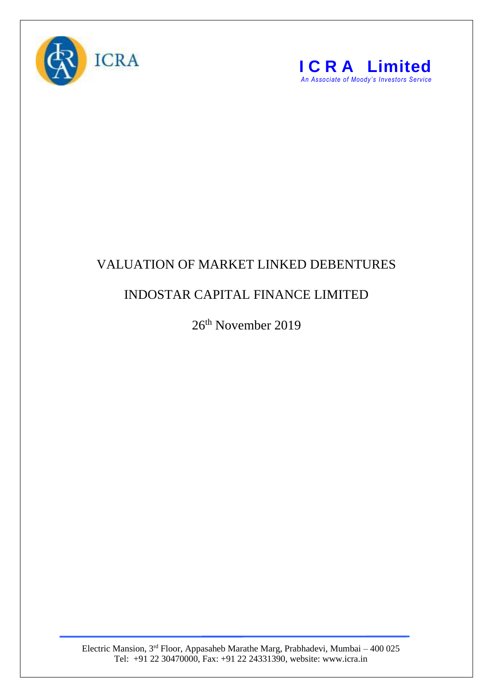



## VALUATION OF MARKET LINKED DEBENTURES

## INDOSTAR CAPITAL FINANCE LIMITED

26th November 2019

Electric Mansion, 3<sup>rd</sup> Floor, Appasaheb Marathe Marg, Prabhadevi, Mumbai – 400 025 Tel: +91 22 30470000, Fax: +91 22 24331390, website: www.icra.in